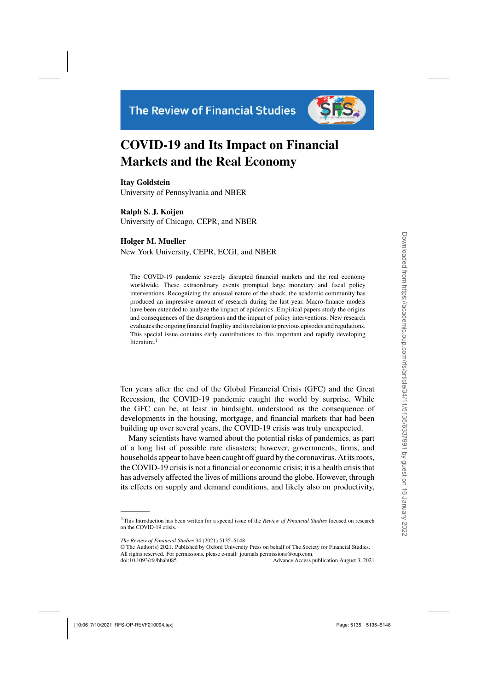

# **COVID-19 and Its Impact on Financial Markets and the Real Economy**

**Itay Goldstein** University of Pennsylvania and NBER

**Ralph S. J. Koijen** University of Chicago, CEPR, and NBER

## **Holger M. Mueller**

New York University, CEPR, ECGI, and NBER

The COVID-19 pandemic severely disrupted financial markets and the real economy worldwide. These extraordinary events prompted large monetary and fiscal policy interventions. Recognizing the unusual nature of the shock, the academic community has produced an impressive amount of research during the last year. Macro-finance models have been extended to analyze the impact of epidemics. Empirical papers study the origins and consequences of the disruptions and the impact of policy interventions. New research evaluates the ongoing financial fragility and its relation to previous episodes and regulations. This special issue contains early contributions to this important and rapidly developing literature.<sup>1</sup>

Ten years after the end of the Global Financial Crisis (GFC) and the Great Recession, the COVID-19 pandemic caught the world by surprise. While the GFC can be, at least in hindsight, understood as the consequence of developments in the housing, mortgage, and financial markets that had been building up over several years, the COVID-19 crisis was truly unexpected.

Many scientists have warned about the potential risks of pandemics, as part of a long list of possible rare disasters; however, governments, firms, and households appear to have been caught off guard by the coronavirus. At its roots, the COVID-19 crisis is not a financial or economic crisis; it is a health crisis that has adversely affected the lives of millions around the globe. However, through its effects on supply and demand conditions, and likely also on productivity,

All rights reserved. For permissions, please e-mail: journals.permissions@oup.com. doi:10.1093/rfs/hhab085 Advance Access publication August 3, 2021

<sup>1</sup>This Introduction has been written for a special issue of the *Review of Financial Studies* focused on research on the COVID-19 crisis.

*The Review of Financial Studies* 34 (2021) 5135–5148

<sup>©</sup> The Author(s) 2021. Published by Oxford University Press on behalf of The Society for Financial Studies.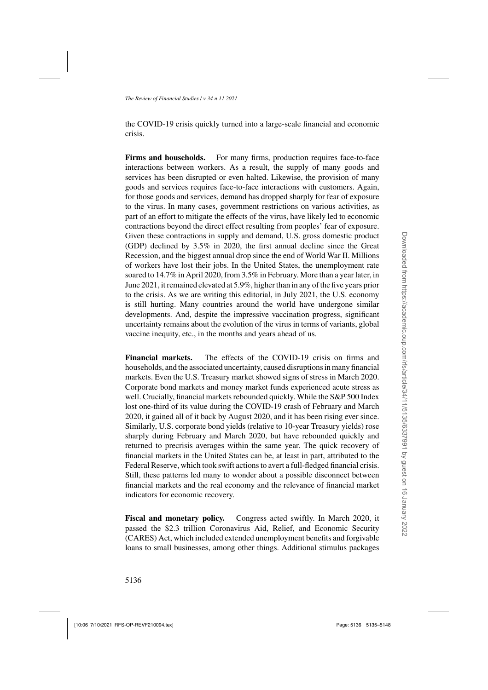the COVID-19 crisis quickly turned into a large-scale financial and economic crisis.

**Firms and households.** For many firms, production requires face-to-face interactions between workers. As a result, the supply of many goods and services has been disrupted or even halted. Likewise, the provision of many goods and services requires face-to-face interactions with customers. Again, for those goods and services, demand has dropped sharply for fear of exposure to the virus. In many cases, government restrictions on various activities, as part of an effort to mitigate the effects of the virus, have likely led to economic contractions beyond the direct effect resulting from peoples' fear of exposure. Given these contractions in supply and demand, U.S. gross domestic product (GDP) declined by 3.5% in 2020, the first annual decline since the Great Recession, and the biggest annual drop since the end of World War II. Millions of workers have lost their jobs. In the United States, the unemployment rate soared to 14.7% in April 2020, from 3.5% in February. More than a year later, in June 2021, it remained elevated at 5.9%, higher than in any of the five years prior to the crisis. As we are writing this editorial, in July 2021, the U.S. economy is still hurting. Many countries around the world have undergone similar developments. And, despite the impressive vaccination progress, significant uncertainty remains about the evolution of the virus in terms of variants, global vaccine inequity, etc., in the months and years ahead of us.

**Financial markets.** The effects of the COVID-19 crisis on firms and households, and the associated uncertainty, caused disruptions in many financial markets. Even the U.S. Treasury market showed signs of stress in March 2020. Corporate bond markets and money market funds experienced acute stress as well. Crucially, financial markets rebounded quickly. While the S&P 500 Index lost one-third of its value during the COVID-19 crash of February and March 2020, it gained all of it back by August 2020, and it has been rising ever since. Similarly, U.S. corporate bond yields (relative to 10-year Treasury yields) rose sharply during February and March 2020, but have rebounded quickly and returned to precrisis averages within the same year. The quick recovery of financial markets in the United States can be, at least in part, attributed to the Federal Reserve, which took swift actions to avert a full-fledged financial crisis. Still, these patterns led many to wonder about a possible disconnect between financial markets and the real economy and the relevance of financial market indicators for economic recovery.

**Fiscal and monetary policy.** Congress acted swiftly. In March 2020, it passed the \$2.3 trillion Coronavirus Aid, Relief, and Economic Security (CARES) Act, which included extended unemployment benefits and forgivable loans to small businesses, among other things. Additional stimulus packages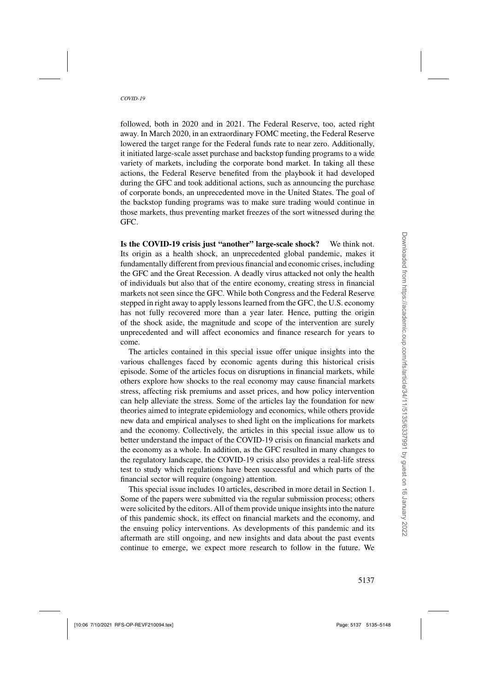followed, both in 2020 and in 2021. The Federal Reserve, too, acted right away. In March 2020, in an extraordinary FOMC meeting, the Federal Reserve lowered the target range for the Federal funds rate to near zero. Additionally, it initiated large-scale asset purchase and backstop funding programs to a wide variety of markets, including the corporate bond market. In taking all these actions, the Federal Reserve benefited from the playbook it had developed during the GFC and took additional actions, such as announcing the purchase of corporate bonds, an unprecedented move in the United States. The goal of the backstop funding programs was to make sure trading would continue in those markets, thus preventing market freezes of the sort witnessed during the GFC.

**Is the COVID-19 crisis just "another" large-scale shock?** We think not. Its origin as a health shock, an unprecedented global pandemic, makes it fundamentally different from previous financial and economic crises, including the GFC and the Great Recession. A deadly virus attacked not only the health of individuals but also that of the entire economy, creating stress in financial markets not seen since the GFC. While both Congress and the Federal Reserve stepped in right away to apply lessons learned from the GFC, the U.S. economy has not fully recovered more than a year later. Hence, putting the origin of the shock aside, the magnitude and scope of the intervention are surely unprecedented and will affect economics and finance research for years to come.

The articles contained in this special issue offer unique insights into the various challenges faced by economic agents during this historical crisis episode. Some of the articles focus on disruptions in financial markets, while others explore how shocks to the real economy may cause financial markets stress, affecting risk premiums and asset prices, and how policy intervention can help alleviate the stress. Some of the articles lay the foundation for new theories aimed to integrate epidemiology and economics, while others provide new data and empirical analyses to shed light on the implications for markets and the economy. Collectively, the articles in this special issue allow us to better understand the impact of the COVID-19 crisis on financial markets and the economy as a whole. In addition, as the GFC resulted in many changes to the regulatory landscape, the COVID-19 crisis also provides a real-life stress test to study which regulations have been successful and which parts of the financial sector will require (ongoing) attention.

This special issue includes 10 articles, described in more detail in Section 1. Some of the papers were submitted via the regular submission process; others were solicited by the editors. All of them provide unique insights into the nature of this pandemic shock, its effect on financial markets and the economy, and the ensuing policy interventions. As developments of this pandemic and its aftermath are still ongoing, and new insights and data about the past events continue to emerge, we expect more research to follow in the future. We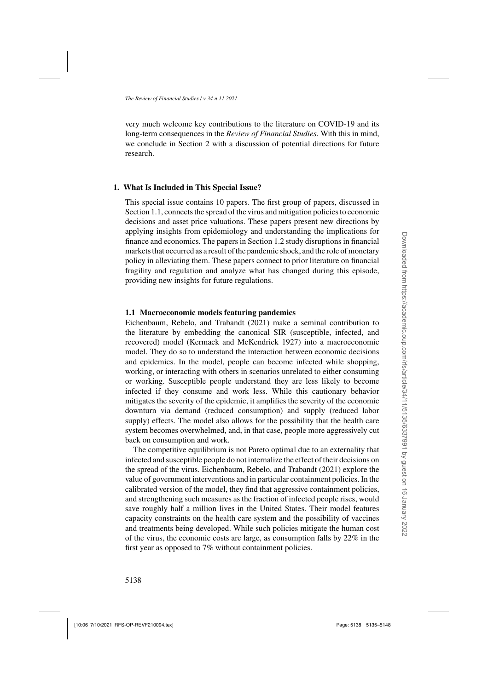very much welcome key contributions to the literature on COVID-19 and its long-term consequences in the *Review of Financial Studies*. With this in mind, we conclude in Section 2 with a discussion of potential directions for future research.

# **1. What Is Included in This Special Issue?**

This special issue contains 10 papers. The first group of papers, discussed in Section 1.1, connects the spread of the virus and mitigation policies to economic decisions and asset price valuations. These papers present new directions by applying insights from epidemiology and understanding the implications for finance and economics. The papers in Section 1.2 study disruptions in financial markets that occurred as a result of the pandemic shock, and the role of monetary policy in alleviating them. These papers connect to prior literature on financial fragility and regulation and analyze what has changed during this episode, providing new insights for future regulations.

## **[1.1](#page-13-0) [Macroeconomic](#page-13-0) [models](#page-13-0) [featur](#page-13-0)ing pandemics**

Eichenbaum, Rebelo, and Trabandt [\(2021](#page-13-0)) make a seminal contribution to the literature by embedding the canonical SIR (susceptible, infected, and recovered) model [\(Kermack and McKendrick 1927](#page-13-0)) into a macroeconomic model. They do so to understand the interaction between economic decisions and epidemics. In the model, people can become infected while shopping, working, or interacting with others in scenarios unrelated to either consuming or working. Susceptible people understand they are less likely to become infected if they consume and work less. While this cautionary behavior mitigates the severity of the epidemic, it amplifies the severity of the economic downturn via demand (reduced consumption) and supply (reduced labor supply) effects. The model also allows for the possibility that the health care system becomes overwhelmed, and, in that case, people more aggressively cut back on consumption and work.

The competitive equilibrium is not Pareto optimal due to an externality that infected and susceptible people do not internalize the effect of their decisions on the spread of the virus. [Eichenbaum, Rebelo, and Trabandt](#page-13-0) [\(2021](#page-13-0)) explore the value of government interventions and in particular containment policies. In the calibrated version of the model, they find that aggressive containment policies, and strengthening such measures as the fraction of infected people rises, would save roughly half a million lives in the United States. Their model features capacity constraints on the health care system and the possibility of vaccines and treatments being developed. While such policies mitigate the human cost of the virus, the economic costs are large, as consumption falls by 22% in the first year as opposed to 7% without containment policies.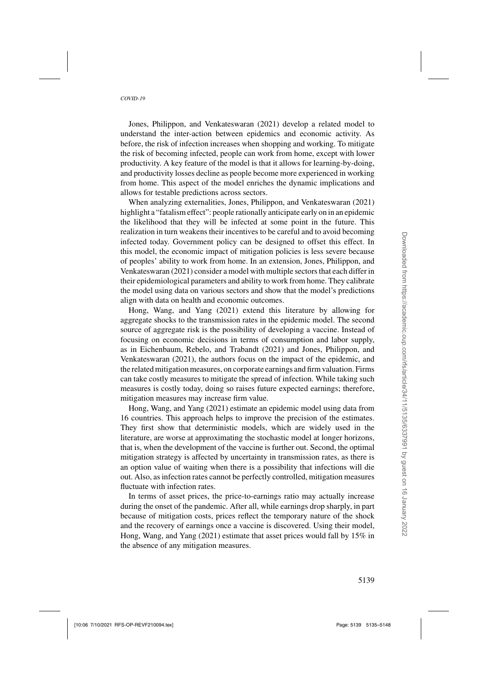Jones, Philippon, and Venkateswaran [\(2021\)](#page-13-0) develop a related model to understand the inter-action between epidemics and economic activity. As before, the risk of infection increases when shopping and working. To mitigate the risk of becoming infected, people can work from home, except with lower productivity. A key feature of the model is that it allows for learning-by-doing, and productivity losses decline as people become more experienced in working from home. This aspect of the model enriches the dynamic implications and allows for testable predictions across sectors.

When analyzing externalities, [Jones, Philippon, and Venkateswaran](#page-13-0) [\(2021](#page-13-0)) highlight a "fatalism effect": people rationally anticipate early on in an epidemic the likelihood that they will be infected at some point in the future. This realization in turn weakens their incentives to be careful and to avoid becoming infected today. Government policy can be designed to offset this effect. In this model, the economic impact of mitigation policies is less severe because of peoples' abi[lity to work from home. In an extension,](#page-13-0) Jones, Philippon, and Venkateswaran [\(2021\)](#page-13-0) consider a model with multiple sectors that each differ in their epidemiological parameters and ability to work from home. They calibrate the model using data on various sectors and show that the model's predictions [align](#page-13-0) [with](#page-13-0) [data](#page-13-0) [on](#page-13-0) [health](#page-13-0) [and](#page-13-0) economic outcomes.

Hong, Wang, and Yang [\(2021](#page-13-0)) extend this literature by allowing for aggregate shocks to the transmission rates in the epidemic model. The second source of aggregate risk is the possibility of developing a vaccine. Instead of focusing on economic decisions in terms of consumption and labor supply, as in [Eichenbaum, Rebelo, and Trabandt](#page-13-0) [\(2021\)](#page-13-0) [and](#page-13-0) Jones, Philippon, and Venkateswaran [\(2021](#page-13-0)), the authors focus on the impact of the epidemic, and the related mitigation measures, on corporate earnings and firm valuation. Firms can take costly measures to mitigate the spread of infection. While taking such measures is costly today, doing so raises future expected earnings; therefore, [mitigation](#page-13-0) [measures](#page-13-0) [may](#page-13-0) increase firm value.

Hong, Wang, and Yang [\(2021\)](#page-13-0) estimate an epidemic model using data from 16 countries. This approach helps to improve the precision of the estimates. They first show that deterministic models, which are widely used in the literature, are worse at approximating the stochastic model at longer horizons, that is, when the development of the vaccine is further out. Second, the optimal mitigation strategy is affected by uncertainty in transmission rates, as there is an option value of waiting when there is a possibility that infections will die out. Also, as infection rates cannot be perfectly controlled, mitigation measures fluctuate with infection rates.

In terms of asset prices, the price-to-earnings ratio may actually increase during the onset of the pandemic. After all, while earnings drop sharply, in part because of mitigation costs, prices reflect the temporary nature of the shock and the recovery of earnings once a vaccine is discovered. Using their model, [Hong, Wang, and Yang](#page-13-0) [\(2021](#page-13-0)) estimate that asset prices would fall by 15% in the absence of any mitigation measures.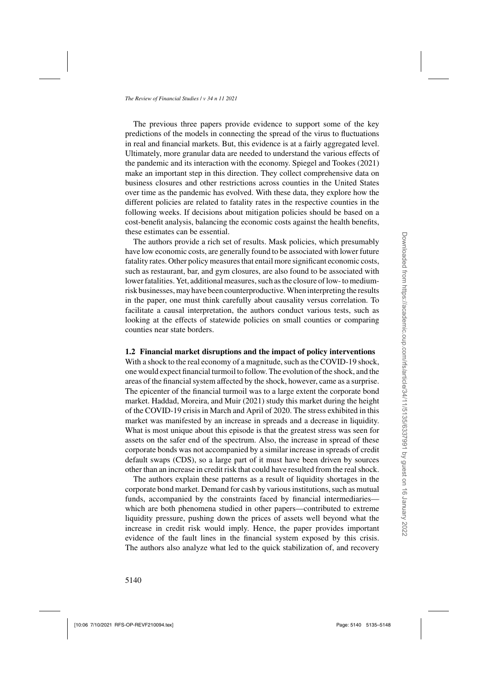The previous three papers provide evidence to support some of the key predictions of the models in connecting the spread of the virus to fluctuations in real and financial markets. But, this evidence is at a fairly aggregated level. Ultimately, more granular data are needed to understand the various effects of the pandemic and its interaction with the economy. [Spiegel and Tookes](#page-13-0) [\(2021\)](#page-13-0) make an important step in this direction. They collect comprehensive data on business closures and other restrictions across counties in the United States over time as the pandemic has evolved. With these data, they explore how the different policies are related to fatality rates in the respective counties in the following weeks. If decisions about mitigation policies should be based on a cost-benefit analysis, balancing the economic costs against the health benefits, these estimates can be essential.

The authors provide a rich set of results. Mask policies, which presumably have low economic costs, are generally found to be associated with lower future fatality rates. Other policy measures that entail more significant economic costs, such as restaurant, bar, and gym closures, are also found to be associated with lower fatalities. Yet, additional measures, such as the closure of low- to mediumrisk businesses, may have been counterproductive.When interpreting the results in the paper, one must think carefully about causality versus correlation. To facilitate a causal interpretation, the authors conduct various tests, such as looking at the effects of statewide policies on small counties or comparing counties near state borders.

#### **1.2 Financial market disruptions and the impact of policy interventions**

With a shock to the real economy of a magnitude, such as the COVID-19 shock, one would expect financial turmoil to follow. The evolution of the shock, and the areas of the financial system affected by the shock, however, came as a surprise. The epicenter of the financial turmoil was to a large extent the corporate bond market. [Haddad, Moreira, and Muir](#page-13-0) [\(2021](#page-13-0)) study this market during the height of the COVID-19 crisis in March and April of 2020. The stress exhibited in this market was manifested by an increase in spreads and a decrease in liquidity. What is most unique about this episode is that the greatest stress was seen for assets on the safer end of the spectrum. Also, the increase in spread of these corporate bonds was not accompanied by a similar increase in spreads of credit default swaps (CDS), so a large part of it must have been driven by sources other than an increase in credit risk that could have resulted from the real shock.

The authors explain these patterns as a result of liquidity shortages in the corporate bond market. Demand for cash by various institutions, such as mutual funds, accompanied by the constraints faced by financial intermediaries which are both phenomena studied in other papers—contributed to extreme liquidity pressure, pushing down the prices of assets well beyond what the increase in credit risk would imply. Hence, the paper provides important evidence of the fault lines in the financial system exposed by this crisis. The authors also analyze what led to the quick stabilization of, and recovery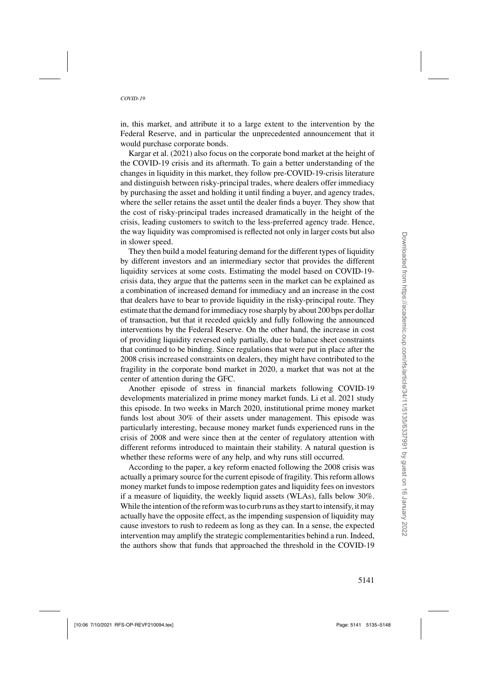in, this market, and attribute it to a large extent to the intervention by the Federal Reserve, and in particular the unprecedented announcement that it would purchase corporate bonds.

Kargar et al. [\(2021\)](#page-13-0) also focus on the corporate bond market at the height of the COVID-19 crisis and its aftermath. To gain a better understanding of the changes in liquidity in this market, they follow pre-COVID-19-crisis literature and distinguish between risky-principal trades, where dealers offer immediacy by purchasing the asset and holding it until finding a buyer, and agency trades, where the seller retains the asset until the dealer finds a buyer. They show that the cost of risky-principal trades increased dramatically in the height of the crisis, leading customers to switch to the less-preferred agency trade. Hence, the way liquidity was compromised is reflected not only in larger costs but also in slower speed.

They then build a model featuring demand for the different types of liquidity by different investors and an intermediary sector that provides the different liquidity services at some costs. Estimating the model based on COVID-19 crisis data, they argue that the patterns seen in the market can be explained as a combination of increased demand for immediacy and an increase in the cost that dealers have to bear to provide liquidity in the risky-principal route. They estimate that the demand for immediacy rose sharply by about 200 bps per dollar of transaction, but that it receded quickly and fully following the announced interventions by the Federal Reserve. On the other hand, the increase in cost of providing liquidity reversed only partially, due to balance sheet constraints that continued to be binding. Since regulations that were put in place after the 2008 crisis increased constraints on dealers, they might have contributed to the fragility in the corporate bond market in 2020, a market that was not at the center of attention during the GFC.

Another episode of stress in financial markets following COVID-19 developments materialized in prime money market funds. [Li et al. 2021](#page-13-0) study this episode. In two weeks in March 2020, institutional prime money market funds lost about 30% of their assets under management. This episode was particularly interesting, because money market funds experienced runs in the crisis of 2008 and were since then at the center of regulatory attention with different reforms introduced to maintain their stability. A natural question is whether these reforms were of any help, and why runs still occurred.

According to the paper, a key reform enacted following the 2008 crisis was actually a primary source for the current episode of fragility. This reform allows money market funds to impose redemption gates and liquidity fees on investors if a measure of liquidity, the weekly liquid assets (WLAs), falls below 30%. While the intention of the reform was to curb runs as they start to intensify, it may actually have the opposite effect, as the impending suspension of liquidity may cause investors to rush to redeem as long as they can. In a sense, the expected intervention may amplify the strategic complementarities behind a run. Indeed, the authors show that funds that approached the threshold in the COVID-19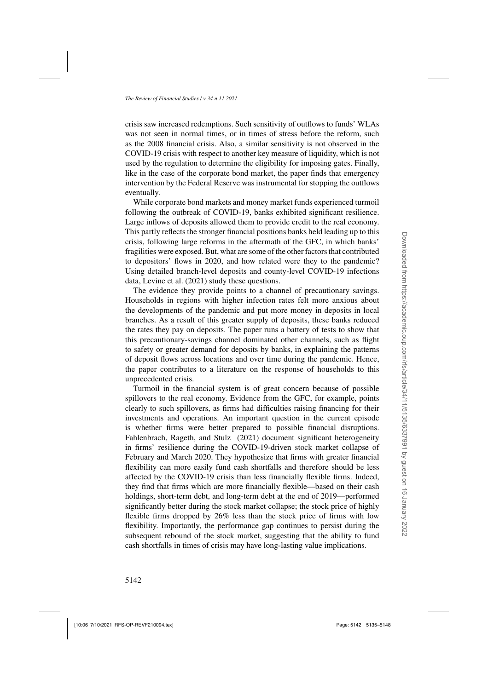crisis saw increased redemptions. Such sensitivity of outflows to funds' WLAs was not seen in normal times, or in times of stress before the reform, such as the 2008 financial crisis. Also, a similar sensitivity is not observed in the COVID-19 crisis with respect to another key measure of liquidity, which is not used by the regulation to determine the eligibility for imposing gates. Finally, like in the case of the corporate bond market, the paper finds that emergency intervention by the Federal Reserve was instrumental for stopping the outflows eventually.

While corporate bond markets and money market funds experienced turmoil following the outbreak of COVID-19, banks exhibited significant resilience. Large inflows of deposits allowed them to provide credit to the real economy. This partly reflects the stronger financial positions banks held leading up to this crisis, following large reforms in the aftermath of the GFC, in which banks' fragilities were exposed. But, what are some of the other factors that contributed to depositors' flows in 2020, and how related were they to the pandemic? Using detailed branch-level deposits and county-level COVID-19 infections data, [Levine et al.](#page-13-0) [\(2021\)](#page-13-0) study these questions.

The evidence they provide points to a channel of precautionary savings. Households in regions with higher infection rates felt more anxious about the developments of the pandemic and put more money in deposits in local branches. As a result of this greater supply of deposits, these banks reduced the rates they pay on deposits. The paper runs a battery of tests to show that this precautionary-savings channel dominated other channels, such as flight to safety or greater demand for deposits by banks, in explaining the patterns of deposit flows across locations and over time during the pandemic. Hence, the paper contributes to a literature on the response of households to this unprecedented crisis.

Turmoil in the financial system is of great concern because of possible spillovers to the real economy. Evidence from the GFC, for example, points clearly to such spillovers, as firms had difficulties raising financing for their investments and operations. An important question in the current episode is whether firms were better prepared to possible financial disruptions. [Fahlenbrach, Rageth, and Stulz](#page-13-0) [\(2021](#page-13-0)) document significant heterogeneity in firms' resilience during the COVID-19-driven stock market collapse of February and March 2020. They hypothesize that firms with greater financial flexibility can more easily fund cash shortfalls and therefore should be less affected by the COVID-19 crisis than less financially flexible firms. Indeed, they find that firms which are more financially flexible—based on their cash holdings, short-term debt, and long-term debt at the end of 2019—performed significantly better during the stock market collapse; the stock price of highly flexible firms dropped by 26% less than the stock price of firms with low flexibility. Importantly, the performance gap continues to persist during the subsequent rebound of the stock market, suggesting that the ability to fund cash shortfalls in times of crisis may have long-lasting value implications.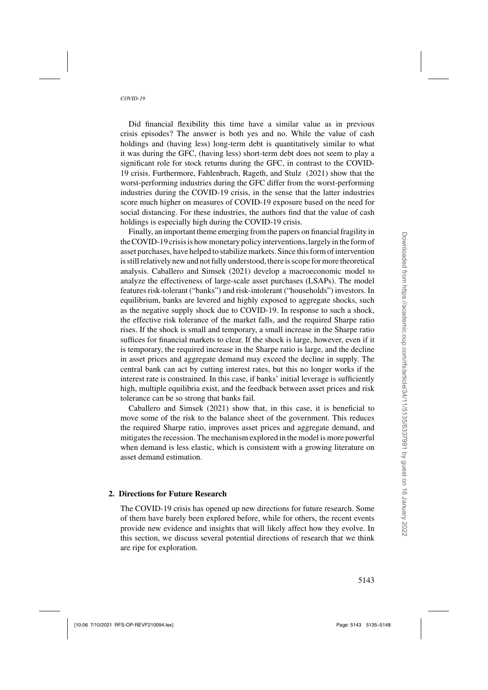Did financial flexibility this time have a similar value as in previous crisis episodes? The answer is both yes and no. While the value of cash holdings and (having less) long-term debt is quantitatively similar to what it was during the GFC, (having less) short-term debt does not seem to play a significant role for stock returns during the GFC, in contrast to the COVID-19 crisis. Furthermore, [Fahlenbrach, Rageth, and Stulz](#page-13-0) [\(2021](#page-13-0)) show that the worst-performing industries during the GFC differ from the worst-performing industries during the COVID-19 crisis, in the sense that the latter industries score much higher on measures of COVID-19 exposure based on the need for social distancing. For these industries, the authors find that the value of cash holdings is especially high during the COVID-19 crisis.

Finally, an important theme emerging from the papers on financial fragility in the COVID-19 crisis is how monetary policy interventions, largely in the form of asset purchases, have helped to stabilize markets. Since this form of intervention is still relatively new and not fully understood, there is scope for more theoretical analysis. [Caballero and Simsek](#page-12-0) [\(2021](#page-12-0)) develop a macroeconomic model to analyze the effectiveness of large-scale asset purchases (LSAPs). The model features risk-tolerant ("banks") and risk-intolerant ("households") investors. In equilibrium, banks are levered and highly exposed to aggregate shocks, such as the negative supply shock due to COVID-19. In response to such a shock, the effective risk tolerance of the market falls, and the required Sharpe ratio rises. If the shock is small and temporary, a small increase in the Sharpe ratio suffices for financial markets to clear. If the shock is large, however, even if it is temporary, the required increase in the Sharpe ratio is large, and the decline in asset prices and aggregate demand may exceed the decline in supply. The central bank can act by cutting interest rates, but this no longer works if the interest rate is constrained. In this case, if banks' initial leverage is sufficiently high, multiple equilibria exist, and the feedback between asset prices and risk [tolerance](#page-12-0) [can](#page-12-0) [be](#page-12-0) [so](#page-12-0) [strong](#page-12-0) that banks fail.

Caballero and Simsek [\(2021](#page-12-0)) show that, in this case, it is beneficial to move some of the risk to the balance sheet of the government. This reduces the required Sharpe ratio, improves asset prices and aggregate demand, and mitigates the recession. The mechanism explored in the model is more powerful when demand is less elastic, which is consistent with a growing literature on asset demand estimation.

#### **2. Directions for Future Research**

The COVID-19 crisis has opened up new directions for future research. Some of them have barely been explored before, while for others, the recent events provide new evidence and insights that will likely affect how they evolve. In this section, we discuss several potential directions of research that we think are ripe for exploration.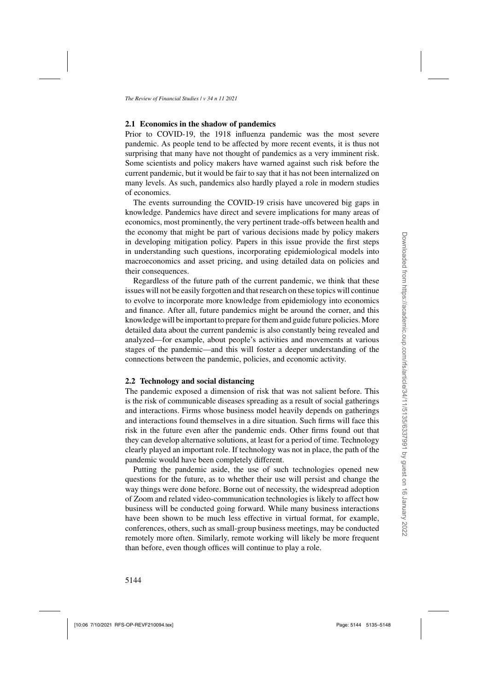#### **2.1 Economics in the shadow of pandemics**

Prior to COVID-19, the 1918 influenza pandemic was the most severe pandemic. As people tend to be affected by more recent events, it is thus not surprising that many have not thought of pandemics as a very imminent risk. Some scientists and policy makers have warned against such risk before the current pandemic, but it would be fair to say that it has not been internalized on many levels. As such, pandemics also hardly played a role in modern studies of economics.

The events surrounding the COVID-19 crisis have uncovered big gaps in knowledge. Pandemics have direct and severe implications for many areas of economics, most prominently, the very pertinent trade-offs between health and the economy that might be part of various decisions made by policy makers in developing mitigation policy. Papers in this issue provide the first steps in understanding such questions, incorporating epidemiological models into macroeconomics and asset pricing, and using detailed data on policies and their consequences.

Regardless of the future path of the current pandemic, we think that these issues will not be easily forgotten and that research on these topics will continue to evolve to incorporate more knowledge from epidemiology into economics and finance. After all, future pandemics might be around the corner, and this knowledge will be important to prepare for them and guide future policies. More detailed data about the current pandemic is also constantly being revealed and analyzed—for example, about people's activities and movements at various stages of the pandemic—and this will foster a deeper understanding of the connections between the pandemic, policies, and economic activity.

#### **2.2 Technology and social distancing**

The pandemic exposed a dimension of risk that was not salient before. This is the risk of communicable diseases spreading as a result of social gatherings and interactions. Firms whose business model heavily depends on gatherings and interactions found themselves in a dire situation. Such firms will face this risk in the future even after the pandemic ends. Other firms found out that they can develop alternative solutions, at least for a period of time. Technology clearly played an important role. If technology was not in place, the path of the pandemic would have been completely different.

Putting the pandemic aside, the use of such technologies opened new questions for the future, as to whether their use will persist and change the way things were done before. Borne out of necessity, the widespread adoption of Zoom and related video-communication technologies is likely to affect how business will be conducted going forward. While many business interactions have been shown to be much less effective in virtual format, for example, conferences, others, such as small-group business meetings, may be conducted remotely more often. Similarly, remote working will likely be more frequent than before, even though offices will continue to play a role.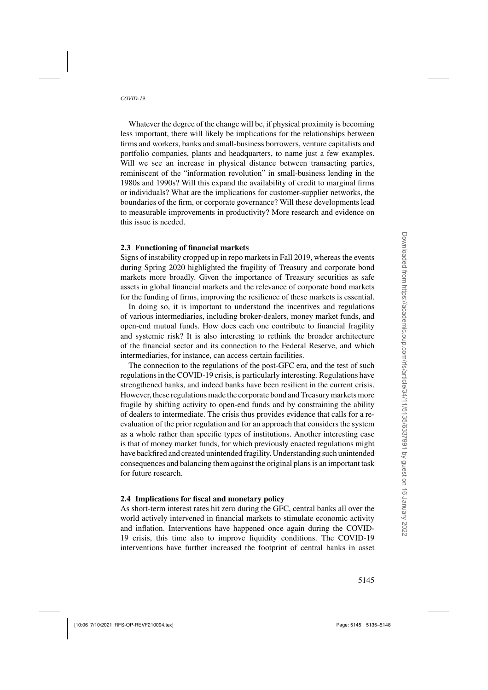Whatever the degree of the change will be, if physical proximity is becoming less important, there will likely be implications for the relationships between firms and workers, banks and small-business borrowers, venture capitalists and portfolio companies, plants and headquarters, to name just a few examples. Will we see an increase in physical distance between transacting parties, reminiscent of the "information revolution" in small-business lending in the 1980s and 1990s? Will this expand the availability of credit to marginal firms or individuals? What are the implications for customer-supplier networks, the boundaries of the firm, or corporate governance? Will these developments lead to measurable improvements in productivity? More research and evidence on this issue is needed.

## **2.3 Functioning of financial markets**

Signs of instability cropped up in repo markets in Fall 2019, whereas the events during Spring 2020 highlighted the fragility of Treasury and corporate bond markets more broadly. Given the importance of Treasury securities as safe assets in global financial markets and the relevance of corporate bond markets for the funding of firms, improving the resilience of these markets is essential.

In doing so, it is important to understand the incentives and regulations of various intermediaries, including broker-dealers, money market funds, and open-end mutual funds. How does each one contribute to financial fragility and systemic risk? It is also interesting to rethink the broader architecture of the financial sector and its connection to the Federal Reserve, and which intermediaries, for instance, can access certain facilities.

The connection to the regulations of the post-GFC era, and the test of such regulations in the COVID-19 crisis, is particularly interesting. Regulations have strengthened banks, and indeed banks have been resilient in the current crisis. However, these regulations made the corporate bond and Treasury markets more fragile by shifting activity to open-end funds and by constraining the ability of dealers to intermediate. The crisis thus provides evidence that calls for a reevaluation of the prior regulation and for an approach that considers the system as a whole rather than specific types of institutions. Another interesting case is that of money market funds, for which previously enacted regulations might have backfired and created unintended fragility. Understanding such unintended consequences and balancing them against the original plans is an important task for future research.

#### **2.4 Implications for fiscal and monetary policy**

As short-term interest rates hit zero during the GFC, central banks all over the world actively intervened in financial markets to stimulate economic activity and inflation. Interventions have happened once again during the COVID-19 crisis, this time also to improve liquidity conditions. The COVID-19 interventions have further increased the footprint of central banks in asset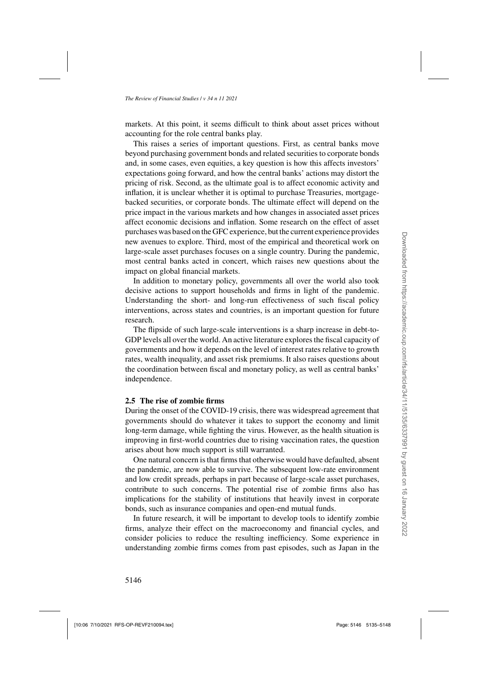markets. At this point, it seems difficult to think about asset prices without accounting for the role central banks play.

This raises a series of important questions. First, as central banks move beyond purchasing government bonds and related securities to corporate bonds and, in some cases, even equities, a key question is how this affects investors' expectations going forward, and how the central banks' actions may distort the pricing of risk. Second, as the ultimate goal is to affect economic activity and inflation, it is unclear whether it is optimal to purchase Treasuries, mortgagebacked securities, or corporate bonds. The ultimate effect will depend on the price impact in the various markets and how changes in associated asset prices affect economic decisions and inflation. Some research on the effect of asset purchases was based on the GFC experience, but the current experience provides new avenues to explore. Third, most of the empirical and theoretical work on large-scale asset purchases focuses on a single country. During the pandemic, most central banks acted in concert, which raises new questions about the impact on global financial markets.

In addition to monetary policy, governments all over the world also took decisive actions to support households and firms in light of the pandemic. Understanding the short- and long-run effectiveness of such fiscal policy interventions, across states and countries, is an important question for future research.

The flipside of such large-scale interventions is a sharp increase in debt-to-GDP levels all over the world. An active literature explores the fiscal capacity of governments and how it depends on the level of interest rates relative to growth rates, wealth inequality, and asset risk premiums. It also raises questions about the coordination between fiscal and monetary policy, as well as central banks' independence.

#### **2.5 The rise of zombie firms**

During the onset of the COVID-19 crisis, there was widespread agreement that governments should do whatever it takes to support the economy and limit long-term damage, while fighting the virus. However, as the health situation is improving in first-world countries due to rising vaccination rates, the question arises about how much support is still warranted.

One natural concern is that firms that otherwise would have defaulted, absent the pandemic, are now able to survive. The subsequent low-rate environment and low credit spreads, perhaps in part because of large-scale asset purchases, contribute to such concerns. The potential rise of zombie firms also has implications for the stability of institutions that heavily invest in corporate bonds, such as insurance companies and open-end mutual funds.

In future research, it will be important to develop tools to identify zombie firms, analyze their effect on the macroeconomy and financial cycles, and consider policies to reduce the resulting inefficiency. Some experience in understanding zombie firms comes from past episodes, such as Japan in the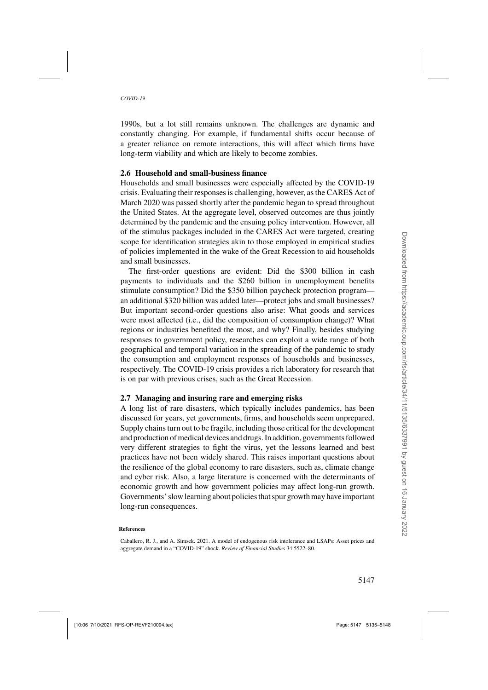<span id="page-12-0"></span>1990s, but a lot still remains unknown. The challenges are dynamic and constantly changing. For example, if fundamental shifts occur because of a greater reliance on remote interactions, this will affect which firms have long-term viability and which are likely to become zombies.

# **2.6 Household and small-business finance**

Households and small businesses were especially affected by the COVID-19 crisis. Evaluating their responses is challenging, however, as the CARES Act of March 2020 was passed shortly after the pandemic began to spread throughout the United States. At the aggregate level, observed outcomes are thus jointly determined by the pandemic and the ensuing policy intervention. However, all of the stimulus packages included in the CARES Act were targeted, creating scope for identification strategies akin to those employed in empirical studies of policies implemented in the wake of the Great Recession to aid households and small businesses.

The first-order questions are evident: Did the \$300 billion in cash payments to individuals and the \$260 billion in unemployment benefits stimulate consumption? Did the \$350 billion paycheck protection program an additional \$320 billion was added later—protect jobs and small businesses? But important second-order questions also arise: What goods and services were most affected (i.e., did the composition of consumption change)? What regions or industries benefited the most, and why? Finally, besides studying responses to government policy, researches can exploit a wide range of both geographical and temporal variation in the spreading of the pandemic to study the consumption and employment responses of households and businesses, respectively. The COVID-19 crisis provides a rich laboratory for research that is on par with previous crises, such as the Great Recession.

# **2.7 Managing and insuring rare and emerging risks**

A long list of rare disasters, which typically includes pandemics, has been discussed for years, yet governments, firms, and households seem unprepared. Supply chains turn out to be fragile, including those critical for the development and production of medical devices and drugs. In addition, governments followed very different strategies to fight the virus, yet the lessons learned and best practices have not been widely shared. This raises important questions about the resilience of the global economy to rare disasters, such as, climate change and cyber risk. Also, a large literature is concerned with the determinants of economic growth and how government policies may affect long-run growth. Governments' slow learning about policies that spur growth may have important long-run consequences.

#### **References**

Caballero, R. J., and A. Simsek. 2021. A model of endogenous risk intolerance and LSAPs: Asset prices and aggregate demand in a "COVID-19" shock. *Review of Financial Studies* 34:5522–80.